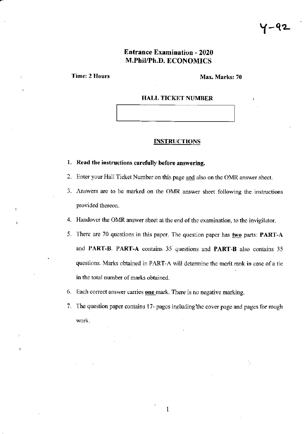## **Entrance Examination - 2020** M.PhiYPh.D. ECONOMICS

Time: 2 Hours Max. Marks: 70

### HALL TICKET NUMBER

#### INSTRUCTIONS

# 1. Read the instructions carefully before answering.

- 2. Enter your Hall Ticket Number on this page and also on the OMR answer sheet.
- 3. Answers are to be marked on the OMR answer sheet following the instructions provided thereon.
- 4. Handover the OMR answer sheet at the end of the examination, to the invigilator.
- 5. There are 70 questions in this paper. The question paper has two parts: PART-A and PART-B. PART-A contains 35 questions and PART-B also conlains <sup>35</sup> questions. Marks obtained in PART-A will determine the merit rank in case of a tie in the total number of marks obtained.
- 6. Each correct answer carries one mark. There is no negative marking.
- 7. The question paper contains 17- pages including the cover page and pages for rough work.

 $\mathbf{1}$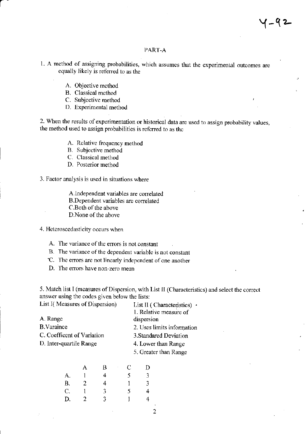## PART-A

1. A method of assigning probabilities, which assumes that the experimental outcomes are equally likely is referred to as the

- A. Objective method
- **B.** Classical method
- C. Subjective method
- D. Experimental method

2. When the results of experimentation or historical data are used to assign probability values, the method used to assign probabilities is referred to as the

- A. Relative frequency method
- B. Subjective method
- C. Classical method
- D. Posterior method
- 3. Factor analysis is used in situations where

A.Independent variables are correlated B.Dependent variables are correlated C.Both of the above D.None of the above

- 4. Heteroscedasticity occurs when
	- A. The variance of the errors is not constant
	- B. The variance of the dependent variable is not constant
	- C. The errors are not linearly independent of one another
	- D. The errors have non-zero mean

5. Match list I (measures of Dispersion, with List II (Characteristics) and select the correct answer using the codes given below the lists:

| List I(Measures of Dispersion) | List II (Characteristics) $\cdot$ |  |  |
|--------------------------------|-----------------------------------|--|--|
|                                | 1. Relative measure of            |  |  |
| A. Range                       | dispersion                        |  |  |
| <b>B.Varaince</b>              | 2. Uses limits information        |  |  |
| C. Coefficent of Variation     | 3. Standared Deviation            |  |  |
| D. Inter-quartile Range        | 4. Lower than Range               |  |  |
|                                | 5. Greater than Range             |  |  |

| A | В | C<br>$\cdot$ | D |
|---|---|--------------|---|
|   | 4 | 5            | 3 |
| 2 | 4 |              | 3 |
|   | 3 | 5            | 4 |
| 2 | 3 |              | 4 |
|   |   |              |   |

 $\overline{2}$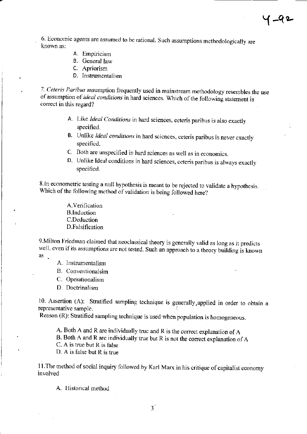6. Bconomic agents are assumed to bc rational. Such assumptions methodologically are known as:

Y-q-

- A. Empiricism
- B. General law
- C. Apriorism

 $\overline{z}$ 

D. Instrumentalism

7. Ceteris Paribus assumption frequently used in mainstream methodology resembles the use of assumption of *ideal conditions* in hard sciences. Which of the following statement is correct in this regard?

- A. Like Ideal Conditions in hard sciences, ceteris paribus is also exactly specified.
- B. Unlike Ideal conditions in hard sciences, ceteris paribus is never exactly specificd.
- C. Both are unspecified in hard sciences as well as in economics.
- D. Unlike ldeal conditions in hard sciences, ceteris paribus is always exactly specitied.

8. In econometric testing a null hypothesis is meant to be rejected to validatc a hypothesis. Which of the following method of validation is being followed here?

> A.Verification B.lnduction C.Dcduction D.Falsification

9.Milton Friedman claimed that neoclassical theory is generally valid as long as it predicts well, even if its assumptions are not tested. Such an approach to a theory building is known as.

- A. lnstrumentalism
- B. Conventionalsim
- C. 0perationalism
- D. Doctrinalism

10. Assetion (A): Stratified sampling technique is generally.applied in order to obtain <sup>a</sup> representative sample.

Reason (R): Stratified sampling technique is used when population is homogeneous.

A. Both A and R are individually true and R is the correct explanation of A

B. Both A and R are individually true but R is not the correct explanation of A

C. A is true but R is false

D. A is false but R is true

11. The method of social inquiry followed by Karl Marx in his critique of capitalist economy involved

A. Historical method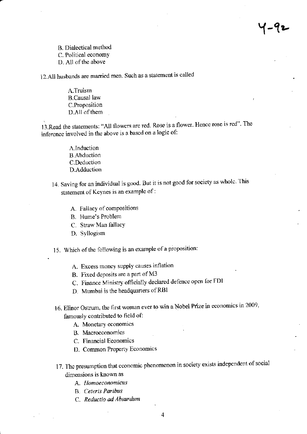| – पृ प्र

B. Dialectical method C. Political economy D. All of the above

12.All husbands are married men. Such as a statement is called

A.Truism **B.Causal** law C.Proposition D.All of them

13. Read the statements: "All flowers are red. Rose is a flower. Hence rose is red". The inference involved in the above is a based on a logic of:

- A.Induction **B.** Abduction C.Deduction D.Adduction
- 14. Saving for an individual is good. But it is not good for society as whole. This statement of Keynes is an example of :
	- A. Fallacy of compositions
	- B. Hume's Problem
	- C. Straw Man fallacy
	- D. Syllogism
- 15. Which of the following is an example of a proposition:
	- A. Excess money supply causes inflation
	- B. Fixed deposits are a part of M3
	- C. Finance Ministry officially declared defence open for FDI
	- D. Mumbai is the headquarters of RBI
- 16. Elinor Ostrum, the first woman ever to win a Nobel Prize in economics in 2009, famously contributed to field of:
	- A. Monetary economics
		- B. Macroeconomics
		- C. Financial Economics
		- D. Common Property Economics
- 17. The presumption that economic phenomenon in society exists independent of social dimensions is known as
	- A. Homoeconomicus
	- **B.** Ceteris Paribus
	- C. Reductio ad Absurdum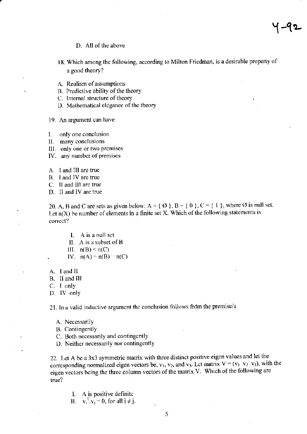#### D. All of the above

- 18. Which among the following, according to Milton Friedman, is a desirable property of a good theory?
- A. Realism of assumptions
- B. Predictive ability of the theory
- C. Internal structure of theory
- D. Mathematical elegance of the theory
- 19. An argument can have
- only one conclusion I.
- II. many conclusions
- III. only one or two premises
- IV. any number of premises
- A. I and III are true
- B. I and IV are true
- C. II and III are true
- D. II and IV are true

20. A, B and C are sets as given below:  $A = \{ \emptyset \}$ ,  $B = \{ 0 \}$ ,  $C = \{ 1 \}$ , where  $\emptyset$  is null set. Let  $n(X)$  be number of elements in a finite set X. Which of the following statements is correct?

- I. A is a null set
- II. A is a subset of B
- III.  $n(B) \le n(C)$
- IV.  $n(A) = n(B) = n(C)$
- A. Land II
- B. II and III
- C. I only
- D. IV only

21. In a valid inductive argument the conclusion follows from the premise/s

- A. Necessarily
- **B.** Contingently
- C. Both necessarily and contingently
- D. Neither necessarily nor contingently

22. Let A be a 3x3 symmetric matrix with three distinct positive eigen values and let the corresponding normalized eigen vectors be,  $v_1$ ,  $v_2$ , and  $v_3$ . Let matrix  $V = (v_1, v_2, v_3)$ , with the eigen vectors being the three column vectors of the matrix V. Which of the following are true?

- I. A is positive definite
- II.  $v_i^T v_i = 0$ , for all  $i \neq j$ .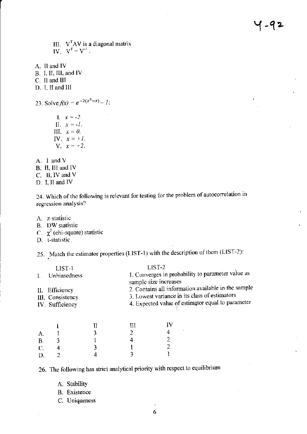J.

III.  $V^T A V$  is a diagonal matrix<br>IV.  $V^T = V^T$ .

- A. II and IV
- B. I, II, III, and IV
- C. II and III
- D. I, II and III

23. Solve  $f(x) = e^{-2(x^3 - x)} - 1$ :

- $1. x = -2.$ II.  $x = -1$ . III.  $x = 0$ . IV.  $x = \pm I$ . **V**.  $x = \pm 2$ .
- A. I and V
- B. II, III and IV
- C. II, IV and V
- D. I, II and IV

24. Which of the following is relevant for testing for the problem of autocorrelation in regression analysis?

- A. z-statistic
- B. DW statistic
- C.  $\chi^2$  (chi-square) statistic
- D. t-statistic

25. Match the estimator properties (LIST-1) with the description of them (LIST-2):

| LIST-1                                                | LIST-2<br>1. Converges in probability to parameter value as                                                                                               |
|-------------------------------------------------------|-----------------------------------------------------------------------------------------------------------------------------------------------------------|
| Unbiasedness                                          | sample size increases                                                                                                                                     |
| II. Efficiency<br>III. Consistency<br>IV. Sufficiency | 2. Contains all information available in the sample<br>3. Lowest variance in its class of estimators<br>4. Expected value of estimator equal to parameter |

|              |   |   | ाम | IV |
|--------------|---|---|----|----|
| A.           |   | 3 |    |    |
|              |   |   |    | o. |
| B. 3<br>C. 4 |   |   |    |    |
| D.           | Z |   |    |    |

26. The following has strict analytical priority with respect to equilibrium

- A. Stability
- **B.** Existence
- C. Uniqueness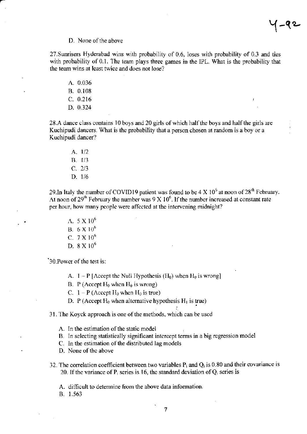Y-qo-

#### D. None of the above

2T.Sunrisers Hyderabad wins with probability of 0.6. loses with probability of 0.3 and ties with probability of 0.1. The team plays three games in the IPL. What is the probability that the team wins at lcast twice and does not lose?

A.0.036

- B. 0.108
- $C. 0.216$
- D. 0.324

28.A dance class contains 10 boys and 20 girls of which half the boys and half the girls are Kuchipudi dancers. What is the probability that a person chosen at random is a boy or a Kuchipudi dancer?

A. 1/2 B. I/3  $C. 2/3$ D. l/6

29. In Italy the number of COVID19 patient was found to be  $4 \text{ X } 10^6$  at noon of  $28^\text{th}$  February. At noon of 29<sup>th</sup> February the number was 9 X 10<sup>6</sup>. If the number increased at constant rate per hour, how many people were affected at the intervening midnight?

 $A.5 \times 10^6$ B.  $6 \times 10^6$ C.  $7 \times 10^6$ D.  $8 \times 10^6$ 

'30. Power of the test is:

- A.  $1 P$  [Accept the Null Hypothesis  $({H_0})$  when  $H_0$  is wrong]
- B. P (Accept  $H_0$  when  $H_0$  is wrong)
- C.  $1 P$  (Accept  $H_0$  when  $H_0$  is true)
- D. P (Accept  $H_0$  when alternative hypothesis  $H_1$  is true)
- 31. The Koyck approach is one of the methods, which can be used
	- A. In the estimation of the static model
	- B. In selecting statistically significant intercept terms in a big regression model
	- C. In the estimation of the distributed lag models

D. None of the above

32. The correlation coefficient between two variables  $P_i$  and  $Q_i$  is 0.80 and their covariance is 20. If the variance of  $P_i$  series is 16, the standard deviation of  $Q_i$  series is

A. difficult to determine from the above data information.

B. 1.563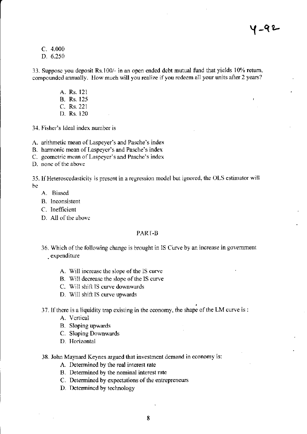$C. 4.000$ D. 6.250

33. Suppose you deposit Rs.100/- in an open ended debt mutual fund that yields 10% return, compounded annually. How much will you realize if you redeem all your units after 2 years?

> A. Rs. 121 **B.** Rs. 125 C. Rs. 221 D. Rs. 120

34. Fisher's Ideal index number is

A. arithmetic mean of Laspeyer's and Pasche's index

- B. harmonic mean of Laspeyer's and Pasche's index
- C. geometric mean of Laspeyer's and Pasche's index
- D. none of the above

35. If Heteroscedasticity is present in a regression model but ignored, the OLS estimator will be.

- A. Biased
- B. Inconsistent
- C. Inefficient
- D. All of the above

#### PART-B

- 36. Which of the following change is brought in IS Curve by an increase in government expenditure
	- A. Will increase the slope of the IS curve
	- B. Will decrease the slope of the IS curve
	- C. Will shift IS curve downwards
	- D. Will shift IS curve upwards

37. If there is a liquidity trap existing in the economy, the shape of the LM curve is :

- A. Vertical
- B. Sloping upwards
- C. Sloping Downwards
- D. Horizontal

### 38. John Maynard Keynes argued that investment demand in economy is:

- A. Determined by the real interest rate
- B. Determined by the nominal interest rate
- C. Determined by expectations of the entrepreneurs
- D. Determined by technology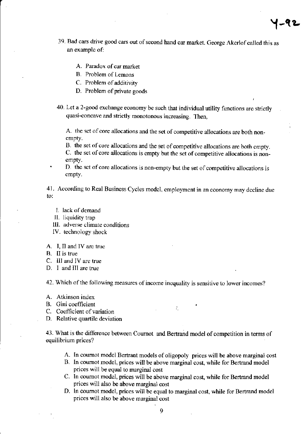39. Bad cars drive good cars out of second hand car market. George Akerlof called this as an example of:

Y-ae-

- A. Paradox of car market
- B. Problcm of Lernons
- C. Problem of additivity
- D. Problem of private goods
- 40. Let a 2-good exchange economy be such that individual utility functions arc strictly quasi-concave and strictly monotonous increasing. Then,

A. the set of core allocations and the set of competitive allocations are both nonempty.

B. the set of core allocations and the set of competitive allocations are both empty.

C. the set of core allocations is empty but the set of competitive allocations is nonempty.

D. the set of core allocations is non-empty but the set of competitive allocations is empty.

4l . According to Real Business Cycles modcl, employment in an econorny may dccline due to:

- I. lack of demand
- IL liquidity trap
- III. adverse climate conditions
- IV. technology shock
- A. I, Il and IV are truc
- B. II is true
- C. lll and IV are true
- D. I and III are true

42. Which of the following measures of income inequality is sensitive to lower incomes?

- A. Atkinson index
- B. Gini coefficient
- C. Coefficient of variation
- D. Relative quartile deviation

43. What is the difference between Cournot and Bertrand model of competition in terms of equilibrium prices?

- A. In cournot model Bertrant models of oligopoly prices will be above marginal cost
- B. ln coumot model, prices will be above marginal cost, while for Bertrand model prices will be equal to marginal cost
- C. In coumot model, prices will be above marginal cost, while for Bertrand model prices will also be above marginal cost
- D. In cournot model, prices will be equal to marginal cost, while for Bertrand model prices will also be above marginal cost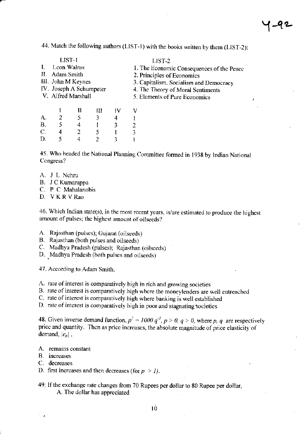44. Match the following authors (LIST-1) with the books written by them (LIST-2):

|    | LIST-1                  |  | LIST-2                                    |
|----|-------------------------|--|-------------------------------------------|
| I. | Leon Walras             |  | 1. The Economic Consequences of the Peace |
|    | II. Adam Smith          |  | 2. Principles of Economics                |
|    | III. John M Keynes      |  | 3. Capitalism, Socialism and Democracy    |
|    | IV. Joseph A Schumpeter |  | 4. The Theory of Moral Sentiments         |
|    | V. Alfred Marshall      |  | 5. Elements of Pure Economics             |
|    |                         |  |                                           |
|    |                         |  |                                           |

|                |                | п | Ш              | -IV | ٧ |
|----------------|----------------|---|----------------|-----|---|
|                | $\overline{2}$ | 5 | 3 <sup>1</sup> | 4   | I |
|                | 5              | 4 |                | 3   | 2 |
| A.<br>B.<br>C. | 4              | 2 |                |     | 3 |
| D.             | 5              |   | 2              | 3   |   |

45. Who headed the National Planning Committee formed in 1938 by Indian National Congress?

- A. J L Nehru
- B. J C Kumarappa
- C. P C Mahalanobis
- D. VKRVRao

46. Which Indian state(s), in the most recent years, is/are estimated to produce the highest amount of pulses; the highest amount of oilseeds?

- A. Rajasthan (pulses); Gujarat (oilseeds)
- B. Rajasthan (both pulses and oilseeds)
- C. Madhya Pradesh (pulses); Rajasthan (oilseeds)
- D. Madhya Pradesh (both pulses and oilseeds)

47. According to Adam Smith,

- A. rate of interest is comparatively high in rich and growing societies
- B. rate of interest is comparatively high where the moneylenders are well entrenched
- C. rate of interest is comparatively high where banking is well established
- D. rate of interest is comparatively high in poor and stagnating societies

48. Given inverse demand function,  $p^2 = 1000. q^{3}$ ,  $p > 0$ ,  $q > 0$ , where p, q are respectively price and quantity. Then as price increases, the absolute magnitude of price elasticity of demand,  $|e_p|$ ,

- A. remains constant
- B. increases
- C. decreases
- D. first increases and then decreases (for  $p > 1$ ).
- 49. If the exchange rate changes from 70 Rupees per dollar to 80 Rupee per dollar, A. The dollar has appreciated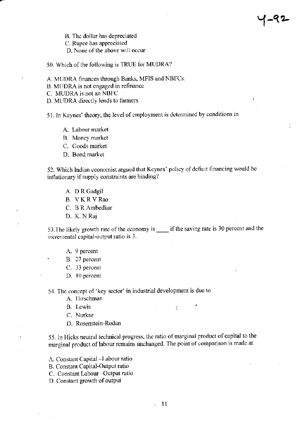B. The dollar has depreciated

C. Rupee has appreciated

D. None of the above will occur

50. Which of the following is TRUE for MUDRA?

- A. MUDRA finances through Banks, MFIS and NBFCs.
- B. MUDRA is not engaged in refinance
- C. MUDRA is not an NBFC
- D. MUDRA directly lends to farmers

51. In Keynes' theory, the level of employment is determined by conditions in

⊺–५2

- A. Labour market
- B. Money market
- C. Goods market
- D. Bond market

52. Which Indian economist argued that Keynes' policy of deficit financing would be inflationary if supply constraints are binding?

- A. D R Gadgil
- B. VKRVRao
- C. B R Ambedkar
- D. K. N Raj

53. The likely growth rate of the economy is \_\_\_\_\_ if the saving rate is 30 percent and the incremental capital-output ratio is 3.

- A. 9 percent
- B. 27 percent
- C. 33 percent
- D. 10 percent

54. The concept of 'key sector' in industrial development is due to

- A. Ilirschman
- **B.** Lewis
- C. Nurkse
- D. Rosenstein-Rodan

55. In Hicks neutral technical progress, the ratio of marginal product of capital to the marginal product of labour remains unchanged. The point of comparison is made at

 $\mathcal{L}_\mathrm{c}$ 

- A. Constant Capital Labour ratio
- B. Constant Capital-Output ratio
- C. Constant Labour -Output ratio
- D. Constant growth of output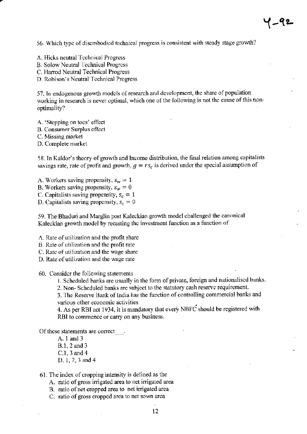56. Which type of disembodied technical progress is consistent with steady stage growth?

- A. Hicks neutral Technical Progress
- **B. Solow Neutral Technical Progress**
- C. Harrod Neutral Technical Progress
- D. Robison's Neutral Technical Progress

57. In endogenous growth models of research and development, the share of population working in research is never optimal, which one of the following is not the cause of this nonoptimality?

- A. 'Stepping on toes' effect
- **B. Consumer Surplus effect**
- C. Missing market
- D. Complete market

58. In Kaldor's theory of growth and Income distribution, the final relation among capitalists savings rate, rate of profit and growth,  $g = rs_c$  is derived under the special assumption of

- A. Workers saving propensity,  $s_w = 1$
- B. Workers saving propensity,  $s_w = 0$
- C. Capitalists saving propensity,  $s_c = 1$
- D. Capitalists saving propensity,  $s_c = 0$

59. The Bhaduri and Marglin post Kaleckian growth model challenged the canonical Kaleckian growth model by recasting the investment function as a function of

A. Rate of utilization and the profit share

- B. Rate of utilization and the profit rate
- C. Rate of utilization and the wage share
- D. Rate of utilization and the wage rate
- 60. Consider the following statements
	- 1. Scheduled banks are usually in the form of private, foreign and nationalised banks.
	- 2. Non-Scheduled banks are subject to the statutory cash reserve requirement.

3. The Reserve Bank of India has the function of controlling commercial banks and various other economic activities

4. As per RBI act 1934, it is mandatory that every NBFC should be registered with RBI to commence or carry on any business.

Of these statements are correct\_\_\_\_.

- A. 1 and 3 B.1, 2 and 3 C.1, 3 and 4 D. 1, 2, 3 and 4
- 61. The index of cropping intensity is defined as the
	- A. ratio of gross irrigated area to net irrigated area
	- B. ratio of net cropped area to net irrigated area
	- C. ratio of gross cropped area to net sown area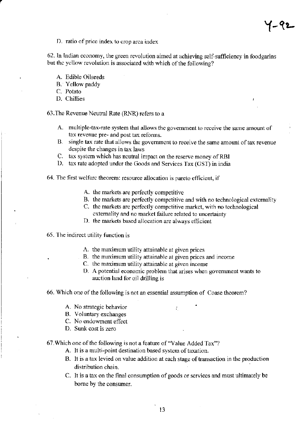1-92

D. ratio of price index to crop arca index

62. In Indian economy, the green revolution aimed at achieving self-sufficiency in loodgarins but the yellow revolution is associated with which of the following?

- A. Edible Oilseeds
- B. Yellow paddy
- C. Potato
- D. Chillies

63.The Revenue Ncutal Rate (RNR) rcfers to a

- A. multiple-tax-rate system that allows the government to receive the same amount of tax revenue pre- and post tax rcforms.
- B. single tax rate that allows the government to receive the same amount of tax revenue despite the changes in tax laws
- C. tax system which has neutral impact on the reserve money of RBI
- D. tax rate adopted under the Goods and Services Tax (GST) in india
- 64. The first welfarc theorem: resource allocation is pareto efficient, if
	- A. the markets are perfectly competitive
	- B. the markets are perfectly competitive and with no technological externality
	- C. the markets are perfectly competitive market, with no technological cxtemality and no market failure relatcd to uncertainty
	- D. the markets based allocation are always efficient
- 65. The indirect utility function is
	- A. the maximum utility attainable at given prices
	- B. the maximum utility attainable at given prices and income
	- C. the maximum utility attainablc at given income
	- D. A potential economic problem that arises when government wants to auction land for oil drilling is

#### 66. Which one of the following is not an essential assumption of Coase theorem?

- A. No stategic behavior
- B. Voluntary exchanges
- C. No endowment effect
- D. Sunk cost is zero

67.Which one of the following is not a feature of "Value Added Tax"?

- A. It is a multi-point destination based system of taxation.
- B. It is a tax levied on value addition at each stage of transaction in the production distribution chain.
- C. It is a tax on the final consumption of goods or services and must ultimately be bome by the consumer.